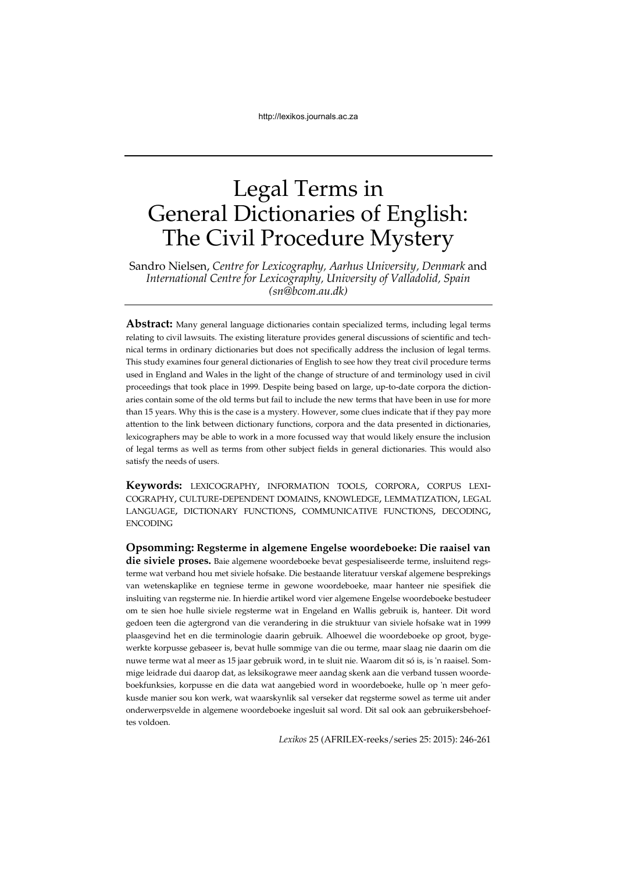# Legal Terms in General Dictionaries of English: The Civil Procedure Mystery

Sandro Nielsen, *Centre for Lexicography, Aarhus University, Denmark* and *International Centre for Lexicography, University of Valladolid, Spain (sn@bcom.au.dk)*

**Abstract:** Many general language dictionaries contain specialized terms, including legal terms relating to civil lawsuits. The existing literature provides general discussions of scientific and technical terms in ordinary dictionaries but does not specifically address the inclusion of legal terms. This study examines four general dictionaries of English to see how they treat civil procedure terms used in England and Wales in the light of the change of structure of and terminology used in civil proceedings that took place in 1999. Despite being based on large, up-to-date corpora the dictionaries contain some of the old terms but fail to include the new terms that have been in use for more than 15 years. Why this is the case is a mystery. However, some clues indicate that if they pay more attention to the link between dictionary functions, corpora and the data presented in dictionaries, lexicographers may be able to work in a more focussed way that would likely ensure the inclusion of legal terms as well as terms from other subject fields in general dictionaries. This would also satisfy the needs of users.

**Keywords:** LEXICOGRAPHY, INFORMATION TOOLS, CORPORA, CORPUS LEXI-COGRAPHY, CULTURE-DEPENDENT DOMAINS, KNOWLEDGE, LEMMATIZATION, LEGAL LANGUAGE, DICTIONARY FUNCTIONS, COMMUNICATIVE FUNCTIONS, DECODING, ENCODING

**Opsomming: Regsterme in algemene Engelse woordeboeke: Die raaisel van die siviele proses.** Baie algemene woordeboeke bevat gespesialiseerde terme, insluitend regsterme wat verband hou met siviele hofsake. Die bestaande literatuur verskaf algemene besprekings van wetenskaplike en tegniese terme in gewone woordeboeke, maar hanteer nie spesifiek die insluiting van regsterme nie. In hierdie artikel word vier algemene Engelse woordeboeke bestudeer om te sien hoe hulle siviele regsterme wat in Engeland en Wallis gebruik is, hanteer. Dit word gedoen teen die agtergrond van die verandering in die struktuur van siviele hofsake wat in 1999 plaasgevind het en die terminologie daarin gebruik. Alhoewel die woordeboeke op groot, bygewerkte korpusse gebaseer is, bevat hulle sommige van die ou terme, maar slaag nie daarin om die nuwe terme wat al meer as 15 jaar gebruik word, in te sluit nie. Waarom dit só is, is 'n raaisel. Sommige leidrade dui daarop dat, as leksikograwe meer aandag skenk aan die verband tussen woordeboekfunksies, korpusse en die data wat aangebied word in woordeboeke, hulle op 'n meer gefokusde manier sou kon werk, wat waarskynlik sal verseker dat regsterme sowel as terme uit ander onderwerpsvelde in algemene woordeboeke ingesluit sal word. Dit sal ook aan gebruikersbehoeftes voldoen.

*Lexikos* 25 (AFRILEX-reeks/series 25: 2015): 246-261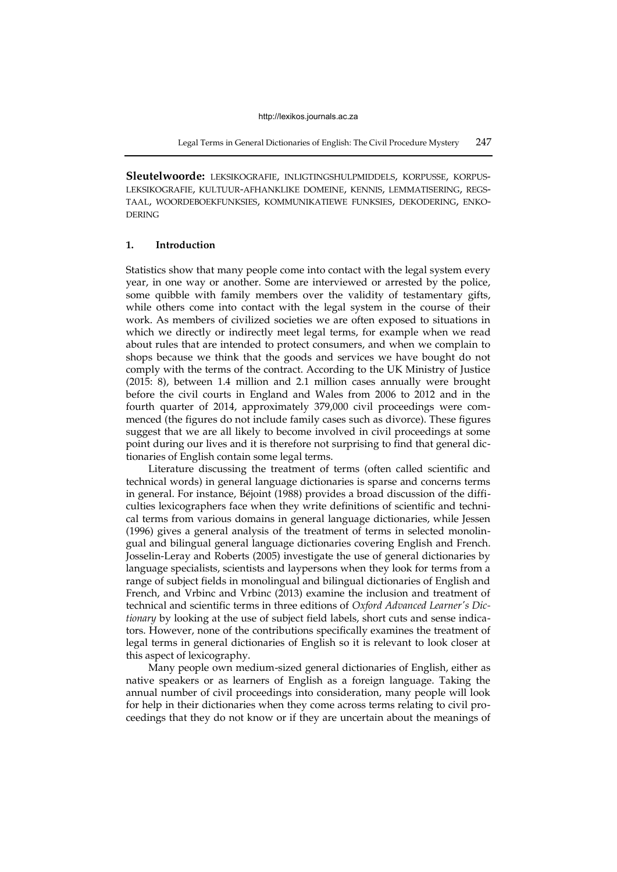**Sleutelwoorde:** LEKSIKOGRAFIE, INLIGTINGSHULPMIDDELS, KORPUSSE, KORPUS-LEKSIKOGRAFIE, KULTUUR-AFHANKLIKE DOMEINE, KENNIS, LEMMATISERING, REGS-TAAL, WOORDEBOEKFUNKSIES, KOMMUNIKATIEWE FUNKSIES, DEKODERING, ENKO-DERING

# **1. Introduction**

Statistics show that many people come into contact with the legal system every year, in one way or another. Some are interviewed or arrested by the police, some quibble with family members over the validity of testamentary gifts, while others come into contact with the legal system in the course of their work. As members of civilized societies we are often exposed to situations in which we directly or indirectly meet legal terms, for example when we read about rules that are intended to protect consumers, and when we complain to shops because we think that the goods and services we have bought do not comply with the terms of the contract. According to the UK Ministry of Justice (2015: 8), between 1.4 million and 2.1 million cases annually were brought before the civil courts in England and Wales from 2006 to 2012 and in the fourth quarter of 2014, approximately 379,000 civil proceedings were commenced (the figures do not include family cases such as divorce). These figures suggest that we are all likely to become involved in civil proceedings at some point during our lives and it is therefore not surprising to find that general dictionaries of English contain some legal terms.

Literature discussing the treatment of terms (often called scientific and technical words) in general language dictionaries is sparse and concerns terms in general. For instance, Béjoint (1988) provides a broad discussion of the difficulties lexicographers face when they write definitions of scientific and technical terms from various domains in general language dictionaries, while Jessen (1996) gives a general analysis of the treatment of terms in selected monolingual and bilingual general language dictionaries covering English and French. Josselin-Leray and Roberts (2005) investigate the use of general dictionaries by language specialists, scientists and laypersons when they look for terms from a range of subject fields in monolingual and bilingual dictionaries of English and French, and Vrbinc and Vrbinc (2013) examine the inclusion and treatment of technical and scientific terms in three editions of *Oxford Advanced Learner's Dictionary* by looking at the use of subject field labels, short cuts and sense indicators. However, none of the contributions specifically examines the treatment of legal terms in general dictionaries of English so it is relevant to look closer at this aspect of lexicography.

Many people own medium-sized general dictionaries of English, either as native speakers or as learners of English as a foreign language. Taking the annual number of civil proceedings into consideration, many people will look for help in their dictionaries when they come across terms relating to civil proceedings that they do not know or if they are uncertain about the meanings of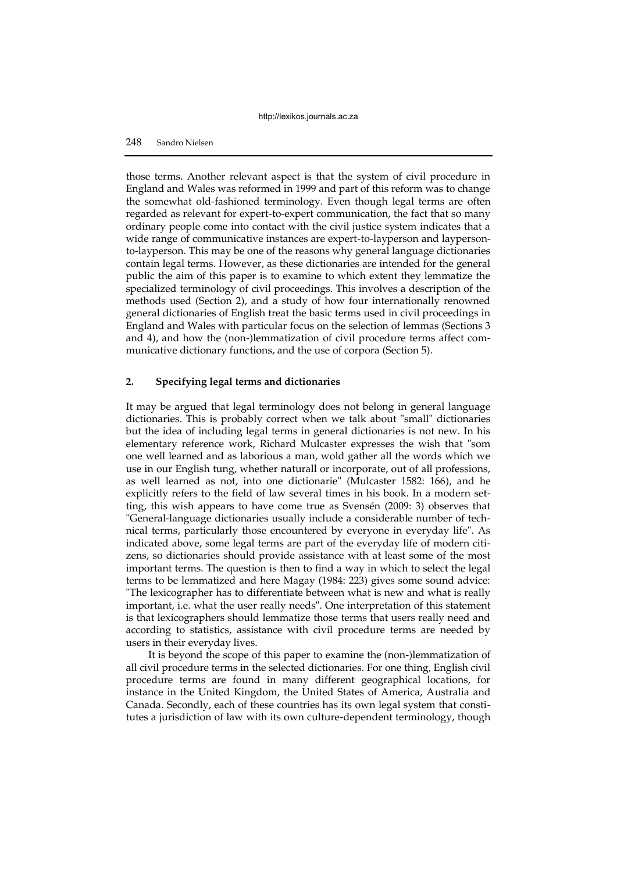# 248 Sandro Nielsen

those terms. Another relevant aspect is that the system of civil procedure in England and Wales was reformed in 1999 and part of this reform was to change the somewhat old-fashioned terminology. Even though legal terms are often regarded as relevant for expert-to-expert communication, the fact that so many ordinary people come into contact with the civil justice system indicates that a wide range of communicative instances are expert-to-layperson and laypersonto-layperson. This may be one of the reasons why general language dictionaries contain legal terms. However, as these dictionaries are intended for the general public the aim of this paper is to examine to which extent they lemmatize the specialized terminology of civil proceedings. This involves a description of the methods used (Section 2), and a study of how four internationally renowned general dictionaries of English treat the basic terms used in civil proceedings in England and Wales with particular focus on the selection of lemmas (Sections 3 and 4), and how the (non-)lemmatization of civil procedure terms affect communicative dictionary functions, and the use of corpora (Section 5).

# **2. Specifying legal terms and dictionaries**

It may be argued that legal terminology does not belong in general language dictionaries. This is probably correct when we talk about "small" dictionaries but the idea of including legal terms in general dictionaries is not new. In his elementary reference work, Richard Mulcaster expresses the wish that "som one well learned and as laborious a man, wold gather all the words which we use in our English tung, whether naturall or incorporate, out of all professions, as well learned as not, into one dictionarie" (Mulcaster 1582: 166), and he explicitly refers to the field of law several times in his book. In a modern setting, this wish appears to have come true as Svensén (2009: 3) observes that "General-language dictionaries usually include a considerable number of technical terms, particularly those encountered by everyone in everyday life". As indicated above, some legal terms are part of the everyday life of modern citizens, so dictionaries should provide assistance with at least some of the most important terms. The question is then to find a way in which to select the legal terms to be lemmatized and here Magay (1984: 223) gives some sound advice: "The lexicographer has to differentiate between what is new and what is really important, i.e. what the user really needs". One interpretation of this statement is that lexicographers should lemmatize those terms that users really need and according to statistics, assistance with civil procedure terms are needed by users in their everyday lives.

It is beyond the scope of this paper to examine the (non-)lemmatization of all civil procedure terms in the selected dictionaries. For one thing, English civil procedure terms are found in many different geographical locations, for instance in the United Kingdom, the United States of America, Australia and Canada. Secondly, each of these countries has its own legal system that constitutes a jurisdiction of law with its own culture-dependent terminology, though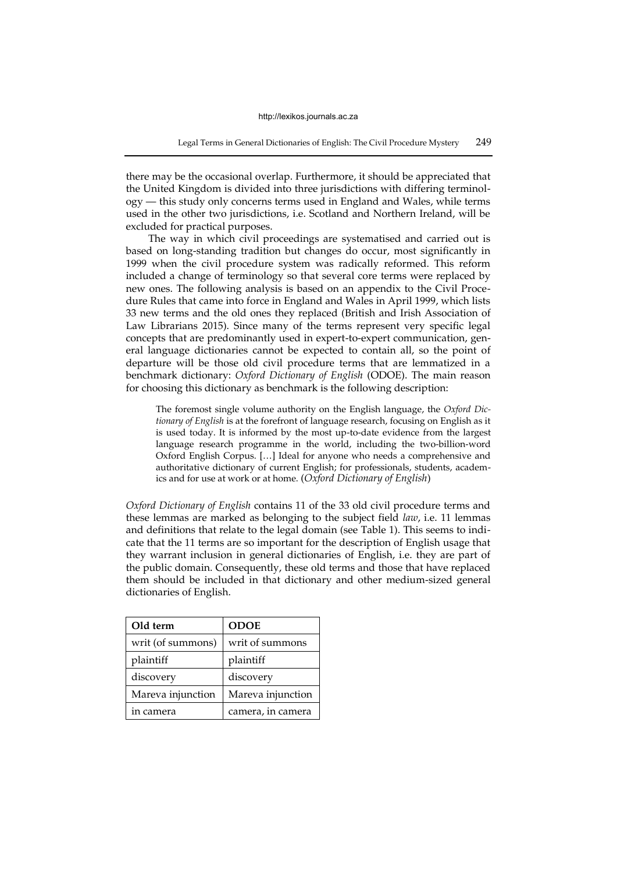there may be the occasional overlap. Furthermore, it should be appreciated that the United Kingdom is divided into three jurisdictions with differing terminology — this study only concerns terms used in England and Wales, while terms used in the other two jurisdictions, i.e. Scotland and Northern Ireland, will be excluded for practical purposes.

The way in which civil proceedings are systematised and carried out is based on long-standing tradition but changes do occur, most significantly in 1999 when the civil procedure system was radically reformed. This reform included a change of terminology so that several core terms were replaced by new ones. The following analysis is based on an appendix to the Civil Procedure Rules that came into force in England and Wales in April 1999, which lists 33 new terms and the old ones they replaced (British and Irish Association of Law Librarians 2015). Since many of the terms represent very specific legal concepts that are predominantly used in expert-to-expert communication, general language dictionaries cannot be expected to contain all, so the point of departure will be those old civil procedure terms that are lemmatized in a benchmark dictionary: *Oxford Dictionary of English* (ODOE). The main reason for choosing this dictionary as benchmark is the following description:

The foremost single volume authority on the English language, the *Oxford Dictionary of English* is at the forefront of language research, focusing on English as it is used today. It is informed by the most up-to-date evidence from the largest language research programme in the world, including the two-billion-word Oxford English Corpus. […] Ideal for anyone who needs a comprehensive and authoritative dictionary of current English; for professionals, students, academics and for use at work or at home. (*Oxford Dictionary of English*)

*Oxford Dictionary of English* contains 11 of the 33 old civil procedure terms and these lemmas are marked as belonging to the subject field *law*, i.e. 11 lemmas and definitions that relate to the legal domain (see Table 1). This seems to indicate that the 11 terms are so important for the description of English usage that they warrant inclusion in general dictionaries of English, i.e. they are part of the public domain. Consequently, these old terms and those that have replaced them should be included in that dictionary and other medium-sized general dictionaries of English.

| Old term          | <b>ODOE</b>       |
|-------------------|-------------------|
| writ (of summons) | writ of summons   |
| plaintiff         | plaintiff         |
| discovery         | discovery         |
| Mareva injunction | Mareva injunction |
| in camera         | camera, in camera |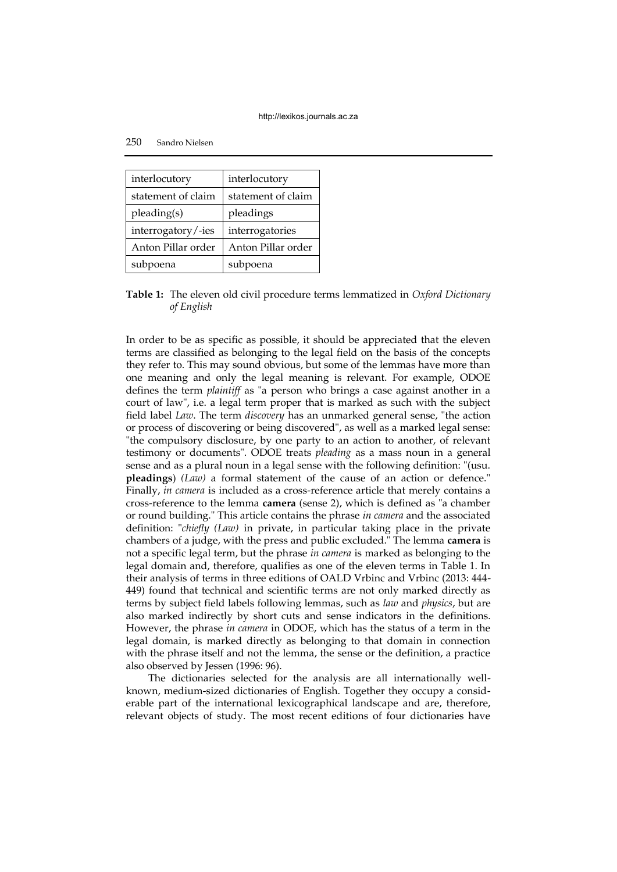| interlocutory      | interlocutory      |
|--------------------|--------------------|
| statement of claim | statement of claim |
| pleading(s)        | pleadings          |
| interrogatory/-ies | interrogatories    |
| Anton Pillar order | Anton Pillar order |
| subpoena           | subpoena           |

**Table 1:** The eleven old civil procedure terms lemmatized in *Oxford Dictionary of English*

In order to be as specific as possible, it should be appreciated that the eleven terms are classified as belonging to the legal field on the basis of the concepts they refer to. This may sound obvious, but some of the lemmas have more than one meaning and only the legal meaning is relevant. For example, ODOE defines the term *plaintiff* as "a person who brings a case against another in a court of law", i.e. a legal term proper that is marked as such with the subject field label *Law*. The term *discovery* has an unmarked general sense, "the action or process of discovering or being discovered", as well as a marked legal sense: "the compulsory disclosure, by one party to an action to another, of relevant testimony or documents". ODOE treats *pleading* as a mass noun in a general sense and as a plural noun in a legal sense with the following definition: "(usu. **pleadings**) *(Law)* a formal statement of the cause of an action or defence." Finally, *in camera* is included as a cross-reference article that merely contains a cross-reference to the lemma **camera** (sense 2), which is defined as "a chamber or round building." This article contains the phrase *in camera* and the associated definition: "*chiefly (Law)* in private, in particular taking place in the private chambers of a judge, with the press and public excluded." The lemma **camera** is not a specific legal term, but the phrase *in camera* is marked as belonging to the legal domain and, therefore, qualifies as one of the eleven terms in Table 1. In their analysis of terms in three editions of OALD Vrbinc and Vrbinc (2013: 444- 449) found that technical and scientific terms are not only marked directly as terms by subject field labels following lemmas, such as *law* and *physics*, but are also marked indirectly by short cuts and sense indicators in the definitions. However, the phrase *in camera* in ODOE, which has the status of a term in the legal domain, is marked directly as belonging to that domain in connection with the phrase itself and not the lemma, the sense or the definition, a practice also observed by Jessen (1996: 96).

The dictionaries selected for the analysis are all internationally wellknown, medium-sized dictionaries of English. Together they occupy a considerable part of the international lexicographical landscape and are, therefore, relevant objects of study. The most recent editions of four dictionaries have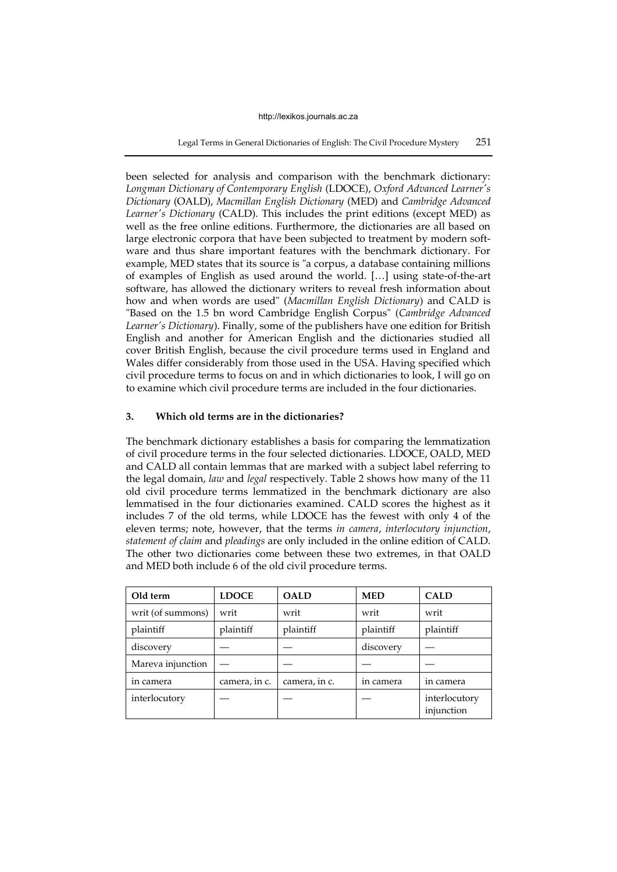Legal Terms in General Dictionaries of English: The Civil Procedure Mystery 251

been selected for analysis and comparison with the benchmark dictionary: *Longman Dictionary of Contemporary English* (LDOCE), *Oxford Advanced Learner's Dictionary* (OALD), *Macmillan English Dictionary* (MED) and *Cambridge Advanced Learner's Dictionary* (CALD). This includes the print editions (except MED) as well as the free online editions. Furthermore, the dictionaries are all based on large electronic corpora that have been subjected to treatment by modern software and thus share important features with the benchmark dictionary. For example, MED states that its source is "a corpus, a database containing millions of examples of English as used around the world. […] using state-of-the-art software, has allowed the dictionary writers to reveal fresh information about how and when words are used" (*Macmillan English Dictionary*) and CALD is "Based on the 1.5 bn word Cambridge English Corpus" (*Cambridge Advanced Learner's Dictionary*). Finally, some of the publishers have one edition for British English and another for American English and the dictionaries studied all cover British English, because the civil procedure terms used in England and Wales differ considerably from those used in the USA. Having specified which civil procedure terms to focus on and in which dictionaries to look, I will go on to examine which civil procedure terms are included in the four dictionaries.

# **3. Which old terms are in the dictionaries?**

The benchmark dictionary establishes a basis for comparing the lemmatization of civil procedure terms in the four selected dictionaries. LDOCE, OALD, MED and CALD all contain lemmas that are marked with a subject label referring to the legal domain, *law* and *legal* respectively. Table 2 shows how many of the 11 old civil procedure terms lemmatized in the benchmark dictionary are also lemmatised in the four dictionaries examined. CALD scores the highest as it includes 7 of the old terms, while LDOCE has the fewest with only 4 of the eleven terms; note, however, that the terms *in camera*, *interlocutory injunction*, *statement of claim* and *pleadings* are only included in the online edition of CALD. The other two dictionaries come between these two extremes, in that OALD and MED both include 6 of the old civil procedure terms.

| Old term          | <b>LDOCE</b>  | <b>OALD</b>   | <b>MED</b> | <b>CALD</b>                 |
|-------------------|---------------|---------------|------------|-----------------------------|
| writ (of summons) | writ          | writ          | writ       | writ                        |
| plaintiff         | plaintiff     | plaintiff     | plaintiff  | plaintiff                   |
| discovery         |               |               | discovery  |                             |
| Mareva injunction |               |               |            |                             |
| in camera         | camera, in c. | camera, in c. | in camera  | in camera                   |
| interlocutory     |               |               |            | interlocutory<br>injunction |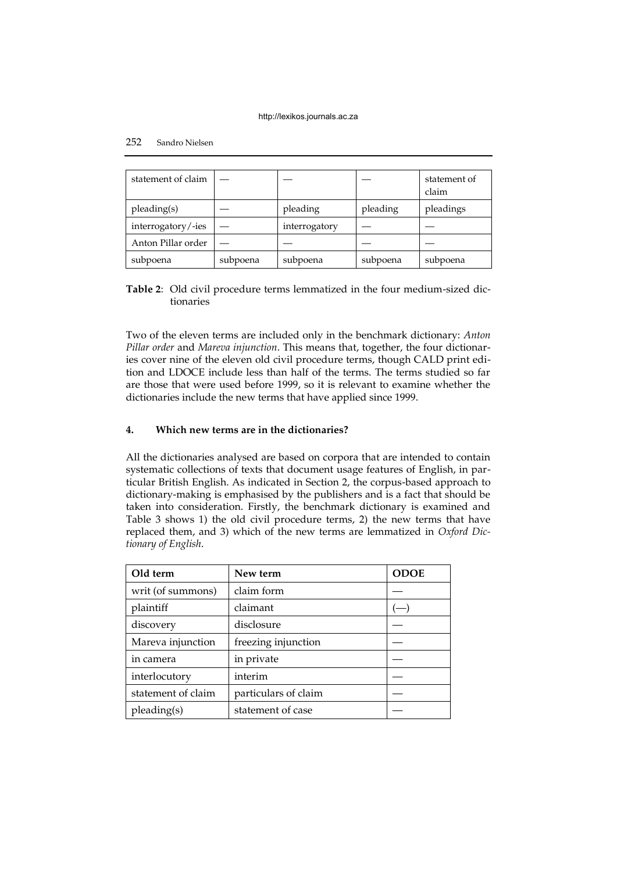| statement of claim |          |               |          | statement of<br>claim |
|--------------------|----------|---------------|----------|-----------------------|
| pleading(s)        |          | pleading      | pleading | pleadings             |
| interrogatory/-ies |          | interrogatory |          |                       |
| Anton Pillar order |          |               |          |                       |
| subpoena           | subpoena | subpoena      | subpoena | subpoena              |

**Table 2**: Old civil procedure terms lemmatized in the four medium-sized dictionaries

Two of the eleven terms are included only in the benchmark dictionary: *Anton Pillar order* and *Mareva injunction*. This means that, together, the four dictionaries cover nine of the eleven old civil procedure terms, though CALD print edition and LDOCE include less than half of the terms. The terms studied so far are those that were used before 1999, so it is relevant to examine whether the dictionaries include the new terms that have applied since 1999.

# **4. Which new terms are in the dictionaries?**

All the dictionaries analysed are based on corpora that are intended to contain systematic collections of texts that document usage features of English, in particular British English. As indicated in Section 2, the corpus-based approach to dictionary-making is emphasised by the publishers and is a fact that should be taken into consideration. Firstly, the benchmark dictionary is examined and Table 3 shows 1) the old civil procedure terms, 2) the new terms that have replaced them, and 3) which of the new terms are lemmatized in *Oxford Dictionary of English*.

| Old term           | New term             | <b>ODOE</b> |
|--------------------|----------------------|-------------|
| writ (of summons)  | claim form           |             |
| plaintiff          | claimant             |             |
| discovery          | disclosure           |             |
| Mareva injunction  | freezing injunction  |             |
| in camera          | in private           |             |
| interlocutory      | interim              |             |
| statement of claim | particulars of claim |             |
| pleading(s)        | statement of case    |             |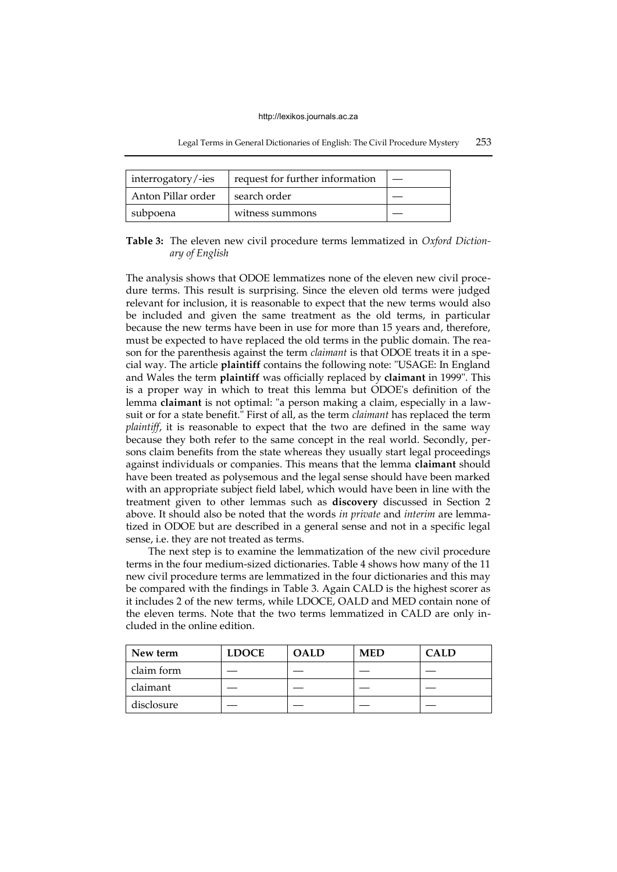|  |  | Legal Terms in General Dictionaries of English: The Civil Procedure Mystery | 253 |
|--|--|-----------------------------------------------------------------------------|-----|
|--|--|-----------------------------------------------------------------------------|-----|

| interrogatory/-ies | request for further information |  |
|--------------------|---------------------------------|--|
| Anton Pillar order | search order                    |  |
| subpoena           | witness summons                 |  |

**Table 3:** The eleven new civil procedure terms lemmatized in *Oxford Dictionary of English*

The analysis shows that ODOE lemmatizes none of the eleven new civil procedure terms. This result is surprising. Since the eleven old terms were judged relevant for inclusion, it is reasonable to expect that the new terms would also be included and given the same treatment as the old terms, in particular because the new terms have been in use for more than 15 years and, therefore, must be expected to have replaced the old terms in the public domain. The reason for the parenthesis against the term *claimant* is that ODOE treats it in a special way. The article **plaintiff** contains the following note: "USAGE: In England and Wales the term **plaintiff** was officially replaced by **claimant** in 1999". This is a proper way in which to treat this lemma but ODOE's definition of the lemma **claimant** is not optimal: "a person making a claim, especially in a lawsuit or for a state benefit." First of all, as the term *claimant* has replaced the term *plaintiff*, it is reasonable to expect that the two are defined in the same way because they both refer to the same concept in the real world. Secondly, persons claim benefits from the state whereas they usually start legal proceedings against individuals or companies. This means that the lemma **claimant** should have been treated as polysemous and the legal sense should have been marked with an appropriate subject field label, which would have been in line with the treatment given to other lemmas such as **discovery** discussed in Section 2 above. It should also be noted that the words *in private* and *interim* are lemmatized in ODOE but are described in a general sense and not in a specific legal sense, i.e. they are not treated as terms.

The next step is to examine the lemmatization of the new civil procedure terms in the four medium-sized dictionaries. Table 4 shows how many of the 11 new civil procedure terms are lemmatized in the four dictionaries and this may be compared with the findings in Table 3. Again CALD is the highest scorer as it includes 2 of the new terms, while LDOCE, OALD and MED contain none of the eleven terms. Note that the two terms lemmatized in CALD are only included in the online edition.

| New term   | <b>LDOCE</b> | <b>OALD</b> | <b>MED</b> | CALD. |
|------------|--------------|-------------|------------|-------|
| claim form |              |             |            |       |
| claimant   |              |             |            |       |
| disclosure |              |             |            |       |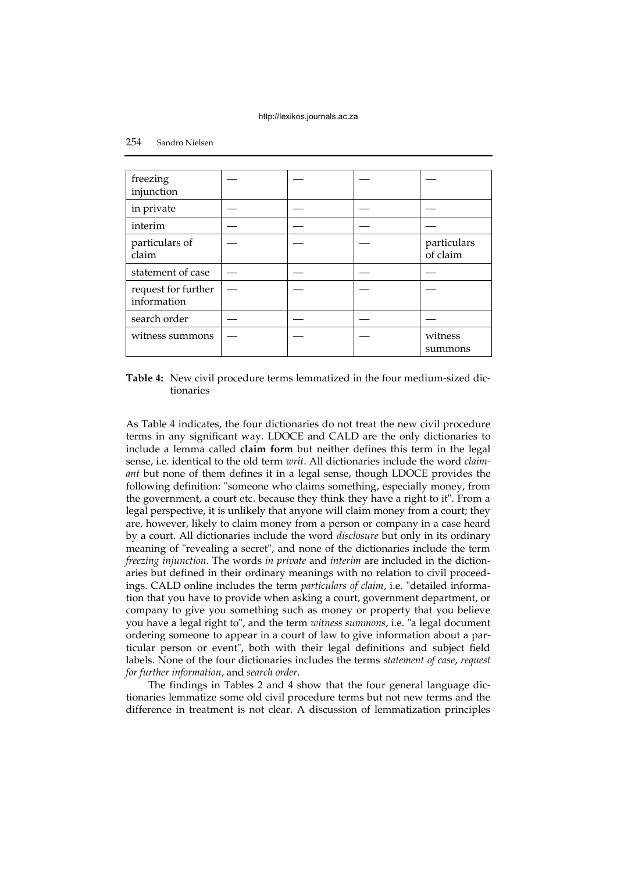| freezing<br>injunction             |  |                         |
|------------------------------------|--|-------------------------|
| in private                         |  |                         |
| interim                            |  |                         |
| particulars of<br>claim            |  | particulars<br>of claim |
| statement of case                  |  |                         |
| request for further<br>information |  |                         |
| search order                       |  |                         |
| witness summons                    |  | witness<br>summons      |

**Table 4:** New civil procedure terms lemmatized in the four medium-sized dictionaries

As Table 4 indicates, the four dictionaries do not treat the new civil procedure terms in any significant way. LDOCE and CALD are the only dictionaries to include a lemma called **claim form** but neither defines this term in the legal sense, i.e. identical to the old term *writ*. All dictionaries include the word *claimant* but none of them defines it in a legal sense, though LDOCE provides the following definition: "someone who claims something, especially money, from the government, a court etc. because they think they have a right to it". From a legal perspective, it is unlikely that anyone will claim money from a court; they are, however, likely to claim money from a person or company in a case heard by a court. All dictionaries include the word *disclosure* but only in its ordinary meaning of "revealing a secret", and none of the dictionaries include the term *freezing injunction*. The words *in private* and *interim* are included in the dictionaries but defined in their ordinary meanings with no relation to civil proceedings. CALD online includes the term *particulars of claim*, i.e. "detailed information that you have to provide when asking a court, government department, or company to give you something such as money or property that you believe you have a legal right to", and the term *witness summons*, i.e. "a legal document ordering someone to appear in a court of law to give information about a particular person or event", both with their legal definitions and subject field labels. None of the four dictionaries includes the terms *statement of case*, *request for further information*, and *search order*.

The findings in Tables 2 and 4 show that the four general language dictionaries lemmatize some old civil procedure terms but not new terms and the difference in treatment is not clear. A discussion of lemmatization principles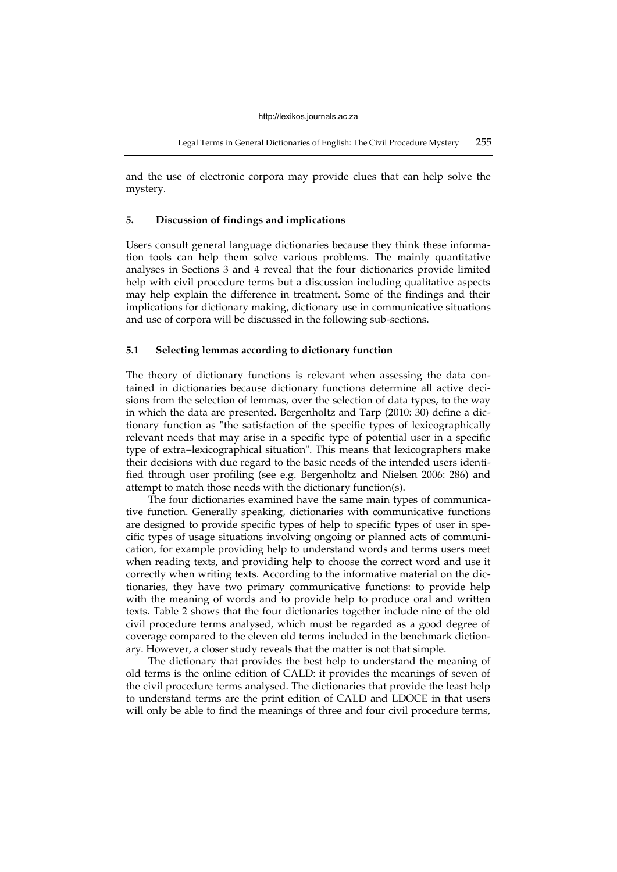and the use of electronic corpora may provide clues that can help solve the mystery.

# **5. Discussion of findings and implications**

Users consult general language dictionaries because they think these information tools can help them solve various problems. The mainly quantitative analyses in Sections 3 and 4 reveal that the four dictionaries provide limited help with civil procedure terms but a discussion including qualitative aspects may help explain the difference in treatment. Some of the findings and their implications for dictionary making, dictionary use in communicative situations and use of corpora will be discussed in the following sub-sections.

## **5.1 Selecting lemmas according to dictionary function**

The theory of dictionary functions is relevant when assessing the data contained in dictionaries because dictionary functions determine all active decisions from the selection of lemmas, over the selection of data types, to the way in which the data are presented. Bergenholtz and Tarp (2010: 30) define a dictionary function as "the satisfaction of the specific types of lexicographically relevant needs that may arise in a specific type of potential user in a specific type of extra−lexicographical situation". This means that lexicographers make their decisions with due regard to the basic needs of the intended users identified through user profiling (see e.g. Bergenholtz and Nielsen 2006: 286) and attempt to match those needs with the dictionary function(s).

The four dictionaries examined have the same main types of communicative function. Generally speaking, dictionaries with communicative functions are designed to provide specific types of help to specific types of user in specific types of usage situations involving ongoing or planned acts of communication, for example providing help to understand words and terms users meet when reading texts, and providing help to choose the correct word and use it correctly when writing texts. According to the informative material on the dictionaries, they have two primary communicative functions: to provide help with the meaning of words and to provide help to produce oral and written texts. Table 2 shows that the four dictionaries together include nine of the old civil procedure terms analysed, which must be regarded as a good degree of coverage compared to the eleven old terms included in the benchmark dictionary. However, a closer study reveals that the matter is not that simple.

The dictionary that provides the best help to understand the meaning of old terms is the online edition of CALD: it provides the meanings of seven of the civil procedure terms analysed. The dictionaries that provide the least help to understand terms are the print edition of CALD and LDOCE in that users will only be able to find the meanings of three and four civil procedure terms,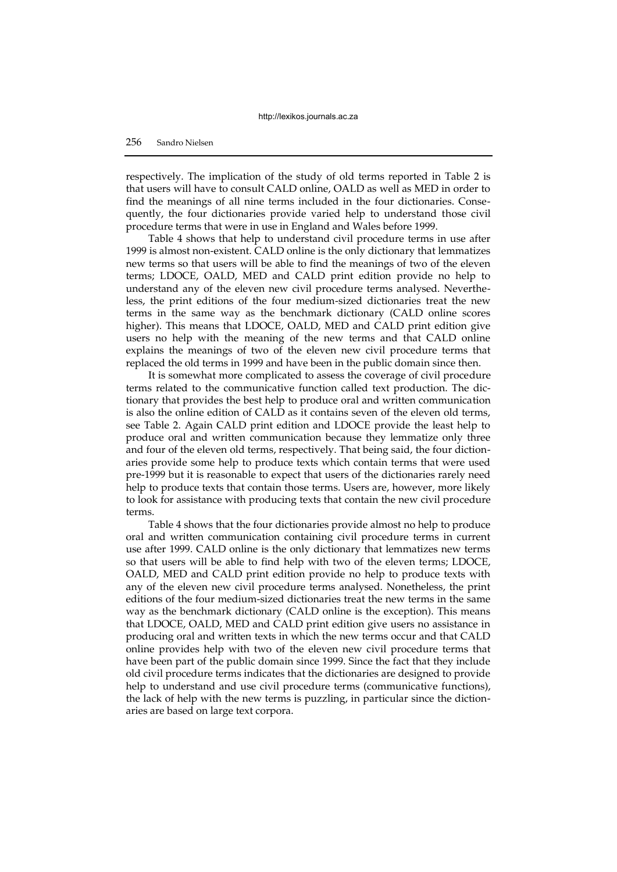respectively. The implication of the study of old terms reported in Table 2 is that users will have to consult CALD online, OALD as well as MED in order to find the meanings of all nine terms included in the four dictionaries. Consequently, the four dictionaries provide varied help to understand those civil procedure terms that were in use in England and Wales before 1999.

Table 4 shows that help to understand civil procedure terms in use after 1999 is almost non-existent. CALD online is the only dictionary that lemmatizes new terms so that users will be able to find the meanings of two of the eleven terms; LDOCE, OALD, MED and CALD print edition provide no help to understand any of the eleven new civil procedure terms analysed. Nevertheless, the print editions of the four medium-sized dictionaries treat the new terms in the same way as the benchmark dictionary (CALD online scores higher). This means that LDOCE, OALD, MED and CALD print edition give users no help with the meaning of the new terms and that CALD online explains the meanings of two of the eleven new civil procedure terms that replaced the old terms in 1999 and have been in the public domain since then.

It is somewhat more complicated to assess the coverage of civil procedure terms related to the communicative function called text production. The dictionary that provides the best help to produce oral and written communication is also the online edition of CALD as it contains seven of the eleven old terms, see Table 2. Again CALD print edition and LDOCE provide the least help to produce oral and written communication because they lemmatize only three and four of the eleven old terms, respectively. That being said, the four dictionaries provide some help to produce texts which contain terms that were used pre-1999 but it is reasonable to expect that users of the dictionaries rarely need help to produce texts that contain those terms. Users are, however, more likely to look for assistance with producing texts that contain the new civil procedure terms.

Table 4 shows that the four dictionaries provide almost no help to produce oral and written communication containing civil procedure terms in current use after 1999. CALD online is the only dictionary that lemmatizes new terms so that users will be able to find help with two of the eleven terms; LDOCE, OALD, MED and CALD print edition provide no help to produce texts with any of the eleven new civil procedure terms analysed. Nonetheless, the print editions of the four medium-sized dictionaries treat the new terms in the same way as the benchmark dictionary (CALD online is the exception). This means that LDOCE, OALD, MED and CALD print edition give users no assistance in producing oral and written texts in which the new terms occur and that CALD online provides help with two of the eleven new civil procedure terms that have been part of the public domain since 1999. Since the fact that they include old civil procedure terms indicates that the dictionaries are designed to provide help to understand and use civil procedure terms (communicative functions), the lack of help with the new terms is puzzling, in particular since the dictionaries are based on large text corpora.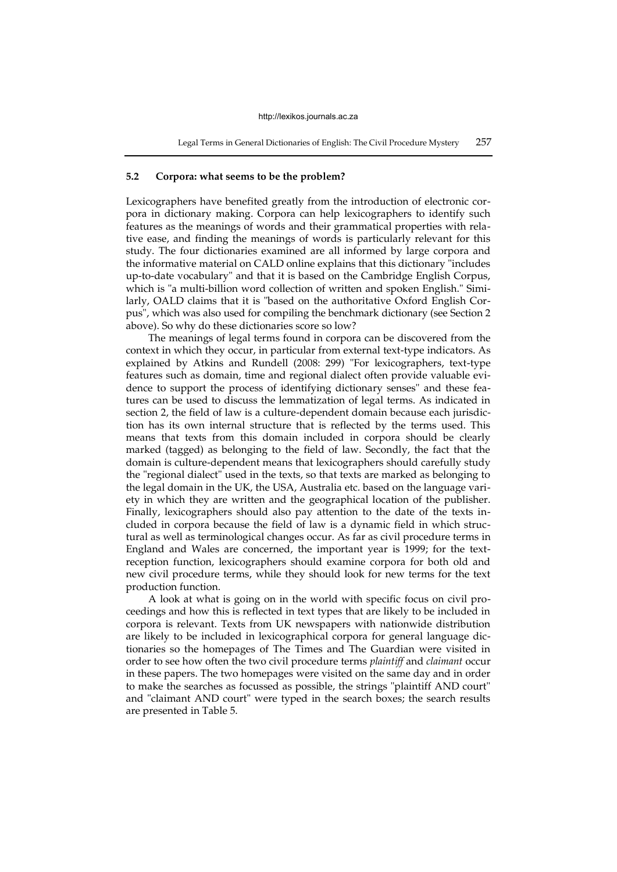## **5.2 Corpora: what seems to be the problem?**

Lexicographers have benefited greatly from the introduction of electronic corpora in dictionary making. Corpora can help lexicographers to identify such features as the meanings of words and their grammatical properties with relative ease, and finding the meanings of words is particularly relevant for this study. The four dictionaries examined are all informed by large corpora and the informative material on CALD online explains that this dictionary "includes up-to-date vocabulary" and that it is based on the Cambridge English Corpus, which is "a multi-billion word collection of written and spoken English." Similarly, OALD claims that it is "based on the authoritative Oxford English Corpus", which was also used for compiling the benchmark dictionary (see Section 2 above). So why do these dictionaries score so low?

The meanings of legal terms found in corpora can be discovered from the context in which they occur, in particular from external text-type indicators. As explained by Atkins and Rundell (2008: 299) "For lexicographers, text-type features such as domain, time and regional dialect often provide valuable evidence to support the process of identifying dictionary senses" and these features can be used to discuss the lemmatization of legal terms. As indicated in section 2, the field of law is a culture-dependent domain because each jurisdiction has its own internal structure that is reflected by the terms used. This means that texts from this domain included in corpora should be clearly marked (tagged) as belonging to the field of law. Secondly, the fact that the domain is culture-dependent means that lexicographers should carefully study the "regional dialect" used in the texts, so that texts are marked as belonging to the legal domain in the UK, the USA, Australia etc. based on the language variety in which they are written and the geographical location of the publisher. Finally, lexicographers should also pay attention to the date of the texts included in corpora because the field of law is a dynamic field in which structural as well as terminological changes occur. As far as civil procedure terms in England and Wales are concerned, the important year is 1999; for the textreception function, lexicographers should examine corpora for both old and new civil procedure terms, while they should look for new terms for the text production function.

A look at what is going on in the world with specific focus on civil proceedings and how this is reflected in text types that are likely to be included in corpora is relevant. Texts from UK newspapers with nationwide distribution are likely to be included in lexicographical corpora for general language dictionaries so the homepages of The Times and The Guardian were visited in order to see how often the two civil procedure terms *plaintiff* and *claimant* occur in these papers. The two homepages were visited on the same day and in order to make the searches as focussed as possible, the strings "plaintiff AND court" and "claimant AND court" were typed in the search boxes; the search results are presented in Table 5.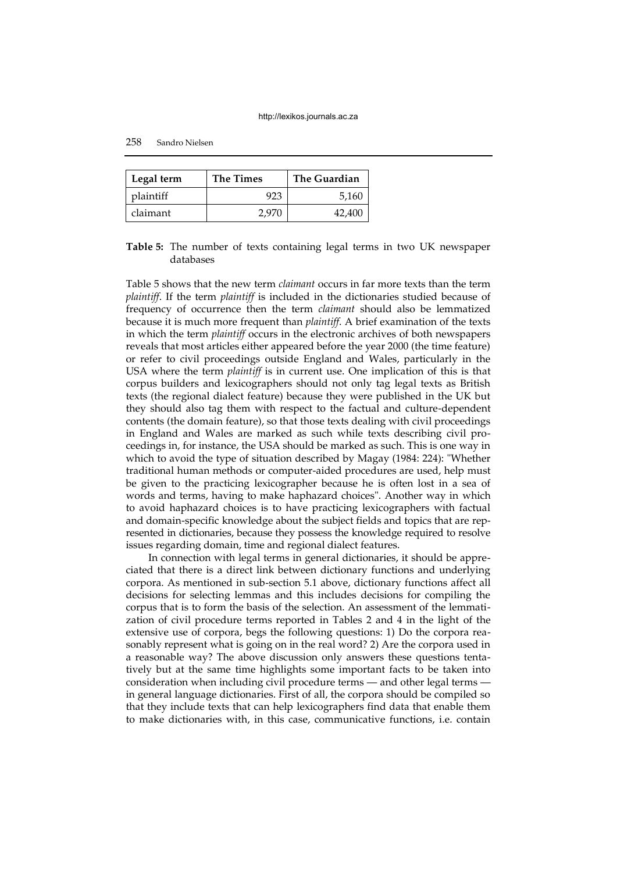| Legal term | <b>The Times</b> | <b>The Guardian</b> |
|------------|------------------|---------------------|
| plaintiff  |                  | 5,160               |
| claimant   | 2.976            | 42.400              |

# **Table 5:** The number of texts containing legal terms in two UK newspaper databases

Table 5 shows that the new term *claimant* occurs in far more texts than the term *plaintiff*. If the term *plaintiff* is included in the dictionaries studied because of frequency of occurrence then the term *claimant* should also be lemmatized because it is much more frequent than *plaintiff*. A brief examination of the texts in which the term *plaintiff* occurs in the electronic archives of both newspapers reveals that most articles either appeared before the year 2000 (the time feature) or refer to civil proceedings outside England and Wales, particularly in the USA where the term *plaintiff* is in current use. One implication of this is that corpus builders and lexicographers should not only tag legal texts as British texts (the regional dialect feature) because they were published in the UK but they should also tag them with respect to the factual and culture-dependent contents (the domain feature), so that those texts dealing with civil proceedings in England and Wales are marked as such while texts describing civil proceedings in, for instance, the USA should be marked as such. This is one way in which to avoid the type of situation described by Magay (1984: 224): "Whether traditional human methods or computer-aided procedures are used, help must be given to the practicing lexicographer because he is often lost in a sea of words and terms, having to make haphazard choices". Another way in which to avoid haphazard choices is to have practicing lexicographers with factual and domain-specific knowledge about the subject fields and topics that are represented in dictionaries, because they possess the knowledge required to resolve issues regarding domain, time and regional dialect features.

In connection with legal terms in general dictionaries, it should be appreciated that there is a direct link between dictionary functions and underlying corpora. As mentioned in sub-section 5.1 above, dictionary functions affect all decisions for selecting lemmas and this includes decisions for compiling the corpus that is to form the basis of the selection. An assessment of the lemmatization of civil procedure terms reported in Tables 2 and 4 in the light of the extensive use of corpora, begs the following questions: 1) Do the corpora reasonably represent what is going on in the real word? 2) Are the corpora used in a reasonable way? The above discussion only answers these questions tentatively but at the same time highlights some important facts to be taken into consideration when including civil procedure terms — and other legal terms in general language dictionaries. First of all, the corpora should be compiled so that they include texts that can help lexicographers find data that enable them to make dictionaries with, in this case, communicative functions, i.e. contain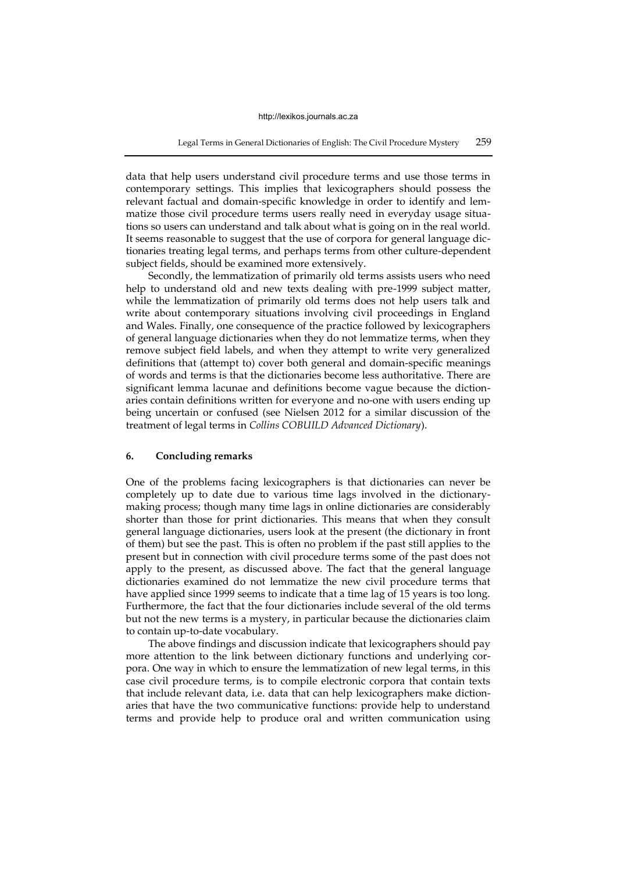data that help users understand civil procedure terms and use those terms in contemporary settings. This implies that lexicographers should possess the relevant factual and domain-specific knowledge in order to identify and lemmatize those civil procedure terms users really need in everyday usage situations so users can understand and talk about what is going on in the real world. It seems reasonable to suggest that the use of corpora for general language dictionaries treating legal terms, and perhaps terms from other culture-dependent subject fields, should be examined more extensively.

Secondly, the lemmatization of primarily old terms assists users who need help to understand old and new texts dealing with pre-1999 subject matter, while the lemmatization of primarily old terms does not help users talk and write about contemporary situations involving civil proceedings in England and Wales. Finally, one consequence of the practice followed by lexicographers of general language dictionaries when they do not lemmatize terms, when they remove subject field labels, and when they attempt to write very generalized definitions that (attempt to) cover both general and domain-specific meanings of words and terms is that the dictionaries become less authoritative. There are significant lemma lacunae and definitions become vague because the dictionaries contain definitions written for everyone and no-one with users ending up being uncertain or confused (see Nielsen 2012 for a similar discussion of the treatment of legal terms in *Collins COBUILD Advanced Dictionary*).

## **6. Concluding remarks**

One of the problems facing lexicographers is that dictionaries can never be completely up to date due to various time lags involved in the dictionarymaking process; though many time lags in online dictionaries are considerably shorter than those for print dictionaries. This means that when they consult general language dictionaries, users look at the present (the dictionary in front of them) but see the past. This is often no problem if the past still applies to the present but in connection with civil procedure terms some of the past does not apply to the present, as discussed above. The fact that the general language dictionaries examined do not lemmatize the new civil procedure terms that have applied since 1999 seems to indicate that a time lag of 15 years is too long. Furthermore, the fact that the four dictionaries include several of the old terms but not the new terms is a mystery, in particular because the dictionaries claim to contain up-to-date vocabulary.

The above findings and discussion indicate that lexicographers should pay more attention to the link between dictionary functions and underlying corpora. One way in which to ensure the lemmatization of new legal terms, in this case civil procedure terms, is to compile electronic corpora that contain texts that include relevant data, i.e. data that can help lexicographers make dictionaries that have the two communicative functions: provide help to understand terms and provide help to produce oral and written communication using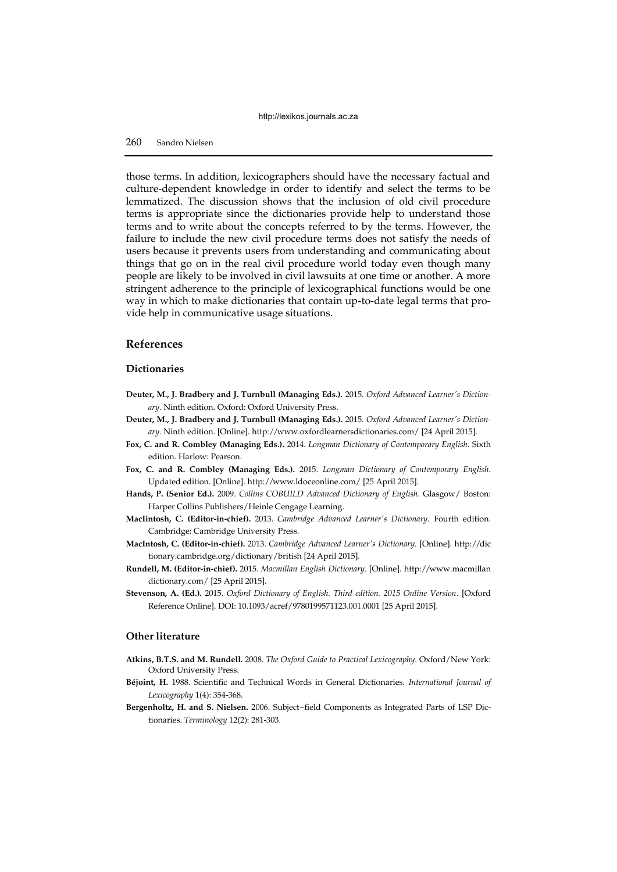# 260 Sandro Nielsen

those terms. In addition, lexicographers should have the necessary factual and culture-dependent knowledge in order to identify and select the terms to be lemmatized. The discussion shows that the inclusion of old civil procedure terms is appropriate since the dictionaries provide help to understand those terms and to write about the concepts referred to by the terms. However, the failure to include the new civil procedure terms does not satisfy the needs of users because it prevents users from understanding and communicating about things that go on in the real civil procedure world today even though many people are likely to be involved in civil lawsuits at one time or another. A more stringent adherence to the principle of lexicographical functions would be one way in which to make dictionaries that contain up-to-date legal terms that provide help in communicative usage situations.

# **References**

# **Dictionaries**

- **Deuter, M., J. Bradbery and J. Turnbull (Managing Eds.).** 2015. *Oxford Advanced Learner's Dictionary.* Ninth edition. Oxford: Oxford University Press.
- **Deuter, M., J. Bradbery and J. Turnbull (Managing Eds.).** 2015. *Oxford Advanced Learner's Dictionary.* Ninth edition. [Online]. http://www.oxfordlearnersdictionaries.com/ [24 April 2015].
- **Fox, C. and R. Combley (Managing Eds.).** 2014. *Longman Dictionary of Contemporary English.* Sixth edition. Harlow: Pearson.
- **Fox, C. and R. Combley (Managing Eds.).** 2015. *Longman Dictionary of Contemporary English.*  Updated edition. [Online]. http://www.ldoceonline.com/ [25 April 2015].
- **Hands, P. (Senior Ed.).** 2009. *Collins COBUILD Advanced Dictionary of English*. Glasgow/ Boston: Harper Collins Publishers/Heinle Cengage Learning.
- **MacIintosh, C. (Editor-in-chief).** 2013. *Cambridge Advanced Learner's Dictionary.* Fourth edition. Cambridge: Cambridge University Press.
- **MacIntosh, C. (Editor-in-chief).** 2013. *Cambridge Advanced Learner's Dictionary*. [Online]. http://dic tionary.cambridge.org/dictionary/british [24 April 2015].
- **Rundell, M. (Editor-in-chief).** 2015. *Macmillan English Dictionary*. [Online]. http://www.macmillan dictionary.com/ [25 April 2015].
- **Stevenson, A. (Ed.).** 2015. *Oxford Dictionary of English. Third edition. 2015 Online Version*. [Oxford Reference Online]. DOI: 10.1093/acref/9780199571123.001.0001 [25 April 2015].

## **Other literature**

- **Atkins, B.T.S. and M. Rundell.** 2008. *The Oxford Guide to Practical Lexicography*. Oxford/New York: Oxford University Press.
- **Béjoint, H.** 1988. Scientific and Technical Words in General Dictionaries. *International Journal of Lexicography* 1(4): 354-368.
- **Bergenholtz, H. and S. Nielsen.** 2006. Subject−field Components as Integrated Parts of LSP Dictionaries. *Terminology* 12(2): 281-303.